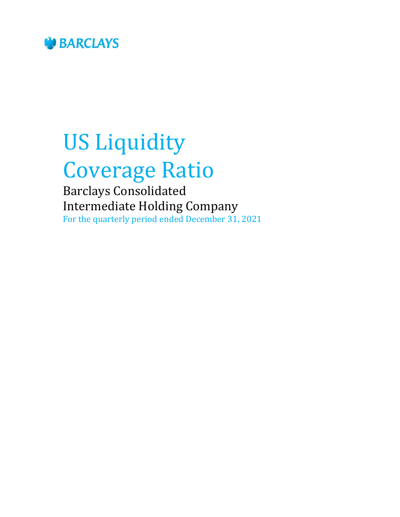

# US Liquidity Coverage Ratio

Barclays Consolidated Intermediate Holding Company For the quarterly period ended December 31, 2021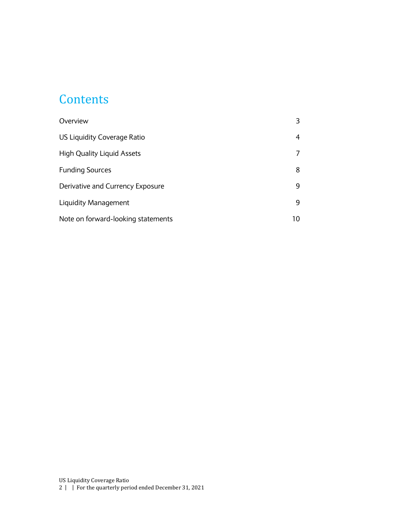#### **Contents**

| Overview                           |    |
|------------------------------------|----|
| US Liquidity Coverage Ratio        | 4  |
| <b>High Quality Liquid Assets</b>  |    |
| <b>Funding Sources</b>             | 8  |
| Derivative and Currency Exposure   | 9  |
| Liquidity Management               | 9  |
| Note on forward-looking statements | 10 |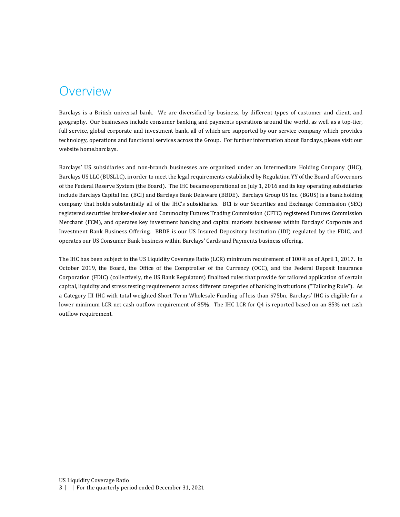#### <span id="page-2-0"></span>Overview

Barclays is a British universal bank. We are diversified by business, by different types of customer and client, and geography. Our businesses include consumer banking and payments operations around the world, as well as a top-tier, full service, global corporate and investment bank, all of which are supported by our service company which provides technology, operations and functional services across the Group. For further information about Barclays, please visit our website home.barclays.

Barclays' US subsidiaries and non-branch businesses are organized under an Intermediate Holding Company (IHC), Barclays US LLC (BUSLLC), in order to meet the legal requirements established by Regulation YY of the Board of Governors of the Federal Reserve System (the Board). The IHC became operational on July 1, 2016 and its key operating subsidiaries include Barclays Capital Inc. (BCI) and Barclays Bank Delaware (BBDE). Barclays Group US Inc. (BGUS) is a bank holding company that holds substantially all of the IHC's subsidiaries. BCI is our Securities and Exchange Commission (SEC) registered securities broker-dealer and Commodity Futures Trading Commission (CFTC) registered Futures Commission Merchant (FCM), and operates key investment banking and capital markets businesses within Barclays' Corporate and Investment Bank Business Offering. BBDE is our US Insured Depository Institution (IDI) regulated by the FDIC, and operates our US Consumer Bank business within Barclays' Cards and Payments business offering.

The IHC has been subject to the US Liquidity Coverage Ratio (LCR) minimum requirement of 100% as of April 1, 2017. In October 2019, the Board, the Office of the Comptroller of the Currency (OCC), and the Federal Deposit Insurance Corporation (FDIC) (collectively, the US Bank Regulators) finalized rules that provide for tailored application of certain capital, liquidity and stress testing requirements across different categories of banking institutions ("Tailoring Rule"). As a Category III IHC with total weighted Short Term Wholesale Funding of less than \$75bn, Barclays' IHC is eligible for a lower minimum LCR net cash outflow requirement of 85%. The IHC LCR for Q4 is reported based on an 85% net cash outflow requirement.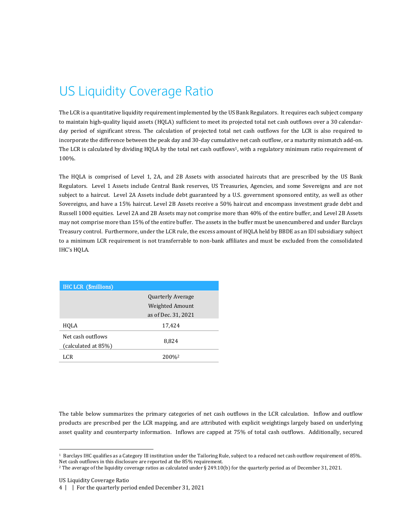# <span id="page-3-0"></span>US Liquidity Coverage Ratio

The LCR is a quantitative liquidity requirement implemented by the US Bank Regulators. It requires each subject company to maintain high-quality liquid assets (HQLA) sufficient to meet its projected total net cash outflows over a 30 calendarday period of significant stress. The calculation of projected total net cash outflows for the LCR is also required to incorporate the difference between the peak day and 30-day cumulative net cash outflow, or a maturity mismatch add-on. The LCR is calculated by dividing HQLA by the total net cash outflows<sup>1</sup>, with a regulatory minimum ratio requirement of 100%.

The HQLA is comprised of Level 1, 2A, and 2B Assets with associated haircuts that are prescribed by the US Bank Regulators. Level 1 Assets include Central Bank reserves, US Treasuries, Agencies, and some Sovereigns and are not subject to a haircut. Level 2A Assets include debt guaranteed by a U.S. government sponsored entity, as well as other Sovereigns, and have a 15% haircut. Level 2B Assets receive a 50% haircut and encompass investment grade debt and Russell 1000 equities. Level 2A and 2B Assets may not comprise more than 40% of the entire buffer, and Level 2B Assets may not comprise more than 15% of the entire buffer. The assets in the buffer must be unencumbered and under Barclays Treasury control. Furthermore, under the LCR rule, the excess amount of HQLA held by BBDE as an IDI subsidiary subject to a minimum LCR requirement is not transferrable to non-bank affiliates and must be excluded from the consolidated IHC's HQLA.

| <b>IHC LCR (\$millions)</b>              |                                             |
|------------------------------------------|---------------------------------------------|
|                                          | <b>Quarterly Average</b><br>Weighted Amount |
|                                          | as of Dec. 31, 2021                         |
| HQLA                                     | 17,424                                      |
| Net cash outflows<br>(calculated at 85%) | 8,824                                       |
| LCR                                      | 200%                                        |

The table below summarizes the primary categories of net cash outflows in the LCR calculation. Inflow and outflow products are prescribed per the LCR mapping, and are attributed with explicit weightings largely based on underlying asset quality and counterparty information. Inflows are capped at 75% of total cash outflows. Additionally, secured

1

<sup>1</sup> Barclays IHC qualifies as a Category III institution under the Tailoring Rule, subject to a reduced net cash outflow requirement of 85%. Net cash outflows in this disclosure are reported at the 85% requirement.

<sup>2</sup> The average of the liquidity coverage ratios as calculated under § 249.10(b) for the quarterly period as of December 31, 2021.

US Liquidity Coverage Ratio

<sup>4</sup> | | For the quarterly period ended December 31, 2021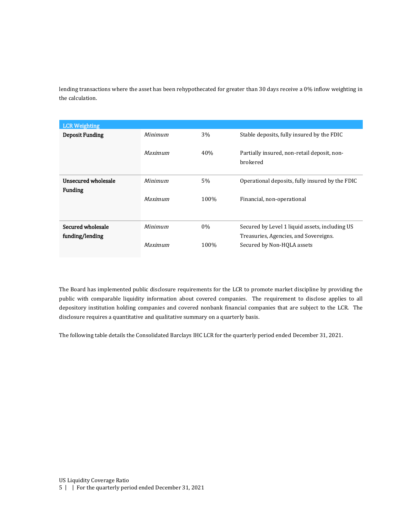lending transactions where the asset has been rehypothecated for greater than 30 days receive a 0% inflow weighting in the calculation.

| <b>LCR Weighting</b>   |                |       |                                                         |
|------------------------|----------------|-------|---------------------------------------------------------|
| <b>Deposit Funding</b> | <b>Minimum</b> | 3%    | Stable deposits, fully insured by the FDIC              |
|                        | <b>Maximum</b> | 40%   | Partially insured, non-retail deposit, non-<br>brokered |
| Unsecured wholesale    | Minimum        | 5%    | Operational deposits, fully insured by the FDIC         |
| <b>Funding</b>         |                |       |                                                         |
|                        | Maximum        | 100%  | Financial, non-operational                              |
|                        |                |       |                                                         |
| Secured wholesale      | Minimum        | $0\%$ | Secured by Level 1 liquid assets, including US          |
| funding/lending        |                |       | Treasuries, Agencies, and Sovereigns.                   |
|                        | Maximum        | 100%  | Secured by Non-HQLA assets                              |

The Board has implemented public disclosure requirements for the LCR to promote market discipline by providing the public with comparable liquidity information about covered companies. The requirement to disclose applies to all depository institution holding companies and covered nonbank financial companies that are subject to the LCR. The disclosure requires a quantitative and qualitative summary on a quarterly basis.

The following table details the Consolidated Barclays IHC LCR for the quarterly period ended December 31, 2021.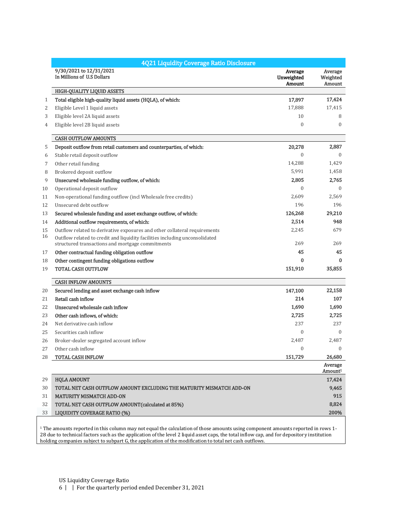|    | 4Q21 Liquidity Coverage Ratio Disclosure                                                                                        |                                 |                                |
|----|---------------------------------------------------------------------------------------------------------------------------------|---------------------------------|--------------------------------|
|    | 9/30/2021 to 12/31/2021<br>In Millions of U.S Dollars                                                                           | Average<br>Unweighted<br>Amount | Average<br>Weighted<br>Amount  |
|    | <b>HIGH-QUALITY LIQUID ASSETS</b>                                                                                               |                                 |                                |
| 1  | Total eligible high-quality liquid assets (HQLA), of which:                                                                     | 17,897                          | 17,424                         |
| 2  | Eligible Level 1 liquid assets                                                                                                  | 17,888                          | 17,415                         |
| 3  | Eligible level 2A liquid assets                                                                                                 | 10                              | 8                              |
| 4  | Eligible level 2B liquid assets                                                                                                 | $\mathbf{0}$                    | $\mathbf{0}$                   |
|    | <b>CASH OUTFLOW AMOUNTS</b>                                                                                                     |                                 |                                |
| 5  | Deposit outflow from retail customers and counterparties, of which:                                                             | 20,278                          | 2,887                          |
| 6  | Stable retail deposit outflow                                                                                                   | 0                               | $\mathbf{0}$                   |
| 7  | Other retail funding                                                                                                            | 14,288                          | 1,429                          |
| 8  | Brokered deposit outflow                                                                                                        | 5,991                           | 1,458                          |
| 9  | Unsecured wholesale funding outflow, of which:                                                                                  | 2,805                           | 2,765                          |
| 10 | Operational deposit outflow                                                                                                     | 0                               | $\boldsymbol{0}$               |
| 11 | Non-operational funding outflow (incl Wholesale free credits)                                                                   | 2.609                           | 2,569                          |
| 12 | Unsecured debt outflow                                                                                                          | 196                             | 196                            |
| 13 | Secured wholesale funding and asset exchange outflow, of which:                                                                 | 126,268                         | 29,210                         |
| 14 | Additional outflow requirements, of which:                                                                                      | 2,514                           | 948                            |
| 15 | Outflow related to derivative exposures and other collateral requirements                                                       | 2,245                           | 679                            |
| 16 | Outflow related to credit and liquidity facilities including unconsolidated<br>structured transactions and mortgage commitments | 269                             | 269                            |
| 17 | Other contractual funding obligation outflow                                                                                    | 45                              | 45                             |
| 18 | Other contingent funding obligations outflow                                                                                    | 0                               | 0                              |
| 19 | <b>TOTAL CASH OUTFLOW</b>                                                                                                       | 151,910                         | 35,855                         |
|    | <b>CASH INFLOW AMOUNTS</b>                                                                                                      |                                 |                                |
| 20 | Secured lending and asset exchange cash inflow                                                                                  | 147,100                         | 22,158                         |
| 21 | Retail cash inflow                                                                                                              | 214                             | 107                            |
| 22 | Unsecured wholesale cash inflow                                                                                                 | 1,690                           | 1,690                          |
| 23 | Other cash inflows, of which:                                                                                                   | 2,725                           | 2,725                          |
| 24 | Net derivative cash inflow                                                                                                      | 237                             | 237                            |
| 25 | Securities cash inflow                                                                                                          | 0                               | $\mathbf{0}$                   |
| 26 | Broker-dealer segregated account inflow                                                                                         | 2,487                           | 2,487                          |
| 27 | Other cash inflow                                                                                                               | $\Omega$                        | $\Omega$                       |
| 28 | <b>TOTAL CASH INFLOW</b>                                                                                                        | 151,729                         | 26,680                         |
|    |                                                                                                                                 |                                 | Average<br>Amount <sup>1</sup> |
| 29 | <b>HQLA AMOUNT</b>                                                                                                              |                                 | 17,424                         |
| 30 | TOTAL NET CASH OUTFLOW AMOUNT EXCLUDING THE MATURITY MISMATCH ADD-ON                                                            |                                 | 9,465                          |
| 31 | <b>MATURITY MISMATCH ADD-ON</b>                                                                                                 |                                 | 915                            |
| 32 | TOTAL NET CASH OUTFLOW AMOUNT (calculated at 85%)                                                                               |                                 | 8,824                          |
| 33 | <b>LIQUIDITY COVERAGE RATIO (%)</b>                                                                                             |                                 | 200%                           |

 $^{\rm 1}$  The amounts reported in this column may not equal the calculation of those amounts using component amounts reported in rows  $1\cdot$ 28 due to technical factors such as the application of the level 2 liquid asset caps, the total inflow cap, and for depository institution holding companies subject to subpart G, the application of the modification to total net cash outflows.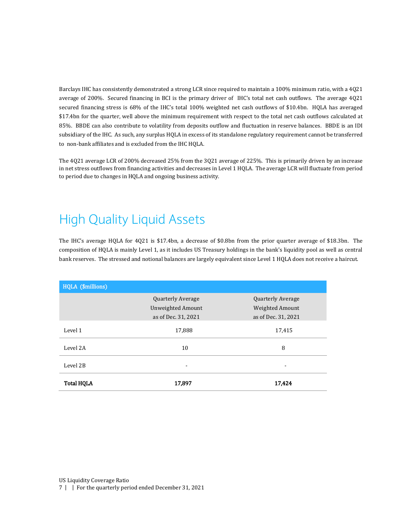Barclays IHC has consistently demonstrated a strong LCR since required to maintain a 100% minimum ratio, with a 4Q21 average of 200%. Secured financing in BCI is the primary driver of IHC's total net cash outflows. The average 4Q21 secured financing stress is 68% of the IHC's total 100% weighted net cash outflows of \$10.4bn. HQLA has averaged \$17.4bn for the quarter, well above the minimum requirement with respect to the total net cash outflows calculated at 85%. BBDE can also contribute to volatility from deposits outflow and fluctuation in reserve balances. BBDE is an IDI subsidiary of the IHC. As such, any surplus HQLA in excess of its standalone regulatory requirement cannot be transferred to non-bank affiliates and is excluded from the IHC HQLA.

<span id="page-6-0"></span>The 4Q21 average LCR of 200% decreased 25% from the 3Q21 average of 225%. This is primarily driven by an increase in net stress outflows from financing activities and decreases in Level 1 HQLA. The average LCR will fluctuate from period to period due to changes in HQLA and ongoing business activity.

# High Quality Liquid Assets

The IHC's average HQLA for 4Q21 is \$17.4bn, a decrease of \$0.8bn from the prior quarter average of \$18.3bn. The composition of HQLA is mainly Level 1, as it includes US Treasury holdings in the bank's liquidity pool as well as central bank reserves. The stressed and notional balances are largely equivalent since Level 1 HQLA does not receive a haircut.

| HQLA (\$millions) |                          |                          |  |
|-------------------|--------------------------|--------------------------|--|
|                   | <b>Quarterly Average</b> | <b>Quarterly Average</b> |  |
|                   | <b>Unweighted Amount</b> | Weighted Amount          |  |
|                   | as of Dec. 31, 2021      | as of Dec. 31, 2021      |  |
| Level 1           | 17,888                   | 17,415                   |  |
| Level 2A          | 10                       | 8                        |  |
| Level 2B          |                          |                          |  |
| <b>Total HQLA</b> | 17,897                   | 17,424                   |  |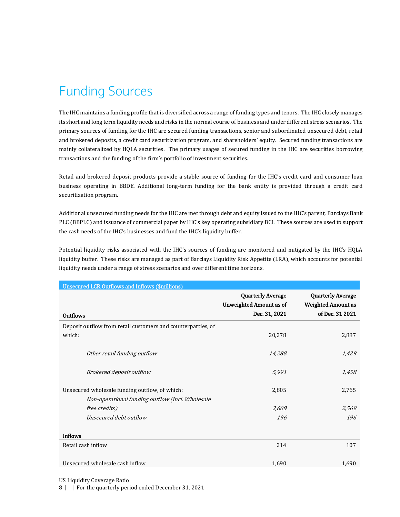# <span id="page-7-0"></span>Funding Sources

The IHC maintains a funding profile that is diversified across a range of funding types and tenors. The IHC closely manages its short and long term liquidity needs and risks in the normal course of business and under different stress scenarios. The primary sources of funding for the IHC are secured funding transactions, senior and subordinated unsecured debt, retail and brokered deposits, a credit card securitization program, and shareholders' equity. Secured funding transactions are mainly collateralized by HQLA securities. The primary usages of secured funding in the IHC are securities borrowing transactions and the funding of the firm's portfolio of investment securities.

Retail and brokered deposit products provide a stable source of funding for the IHC's credit card and consumer loan business operating in BBDE. Additional long-term funding for the bank entity is provided through a credit card securitization program.

Additional unsecured funding needs for the IHC are met through debt and equity issued to the IHC's parent, Barclays Bank PLC (BBPLC) and issuance of commercial paper by IHC's key operating subsidiary BCI. These sources are used to support the cash needs of the IHC's businesses and fund the IHC's liquidity buffer.

Potential liquidity risks associated with the IHC's sources of funding are monitored and mitigated by the IHC's HQLA liquidity buffer. These risks are managed as part of Barclays Liquidity Risk Appetite (LRA), which accounts for potential liquidity needs under a range of stress scenarios and over different time horizons.

| <b>Unsecured LCR Outflows and Inflows (\$millions)</b>       |                                                            |                                                                          |  |
|--------------------------------------------------------------|------------------------------------------------------------|--------------------------------------------------------------------------|--|
|                                                              | <b>Quarterly Average</b><br><b>Unweighted Amount as of</b> | <b>Quarterly Average</b><br><b>Weighted Amount as</b><br>of Dec. 31 2021 |  |
| <b>Outflows</b>                                              | Dec. 31, 2021                                              |                                                                          |  |
| Deposit outflow from retail customers and counterparties, of |                                                            |                                                                          |  |
| which:                                                       | 20,278                                                     | 2,887                                                                    |  |
| Other retail funding outflow                                 | 14,288                                                     | 1,429                                                                    |  |
| Brokered deposit outflow                                     | 5,991                                                      | 1,458                                                                    |  |
| Unsecured wholesale funding outflow, of which:               | 2,805                                                      | 2,765                                                                    |  |
| Non-operational funding outflow (incl. Wholesale             |                                                            |                                                                          |  |
| <i>free credits</i> )                                        | 2,609                                                      | 2,569                                                                    |  |
| Unsecured debt outflow                                       | 196                                                        | 196                                                                      |  |
| <b>Inflows</b>                                               |                                                            |                                                                          |  |
| Retail cash inflow                                           | 214                                                        | 107                                                                      |  |
| Unsecured wholesale cash inflow                              | 1,690                                                      | 1,690                                                                    |  |

US Liquidity Coverage Ratio

8 | | For the quarterly period ended December 31, 2021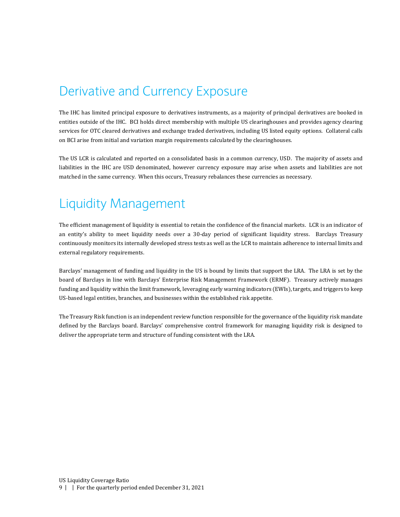#### <span id="page-8-0"></span>Derivative and Currency Exposure

The IHC has limited principal exposure to derivatives instruments, as a majority of principal derivatives are booked in entities outside of the IHC. BCI holds direct membership with multiple US clearinghouses and provides agency clearing services for OTC cleared derivatives and exchange traded derivatives, including US listed equity options. Collateral calls on BCI arise from initial and variation margin requirements calculated by the clearinghouses.

The US LCR is calculated and reported on a consolidated basis in a common currency, USD. The majority of assets and liabilities in the IHC are USD denominated, however currency exposure may arise when assets and liabilities are not matched in the same currency. When this occurs, Treasury rebalances these currencies as necessary.

#### <span id="page-8-1"></span>Liquidity Management

The efficient management of liquidity is essential to retain the confidence of the financial markets. LCR is an indicator of an entity's ability to meet liquidity needs over a 30-day period of significant liquidity stress. Barclays Treasury continuously monitors its internally developed stress tests as well as the LCR to maintain adherence to internal limits and external regulatory requirements.

Barclays' management of funding and liquidity in the US is bound by limits that support the LRA. The LRA is set by the board of Barclays in line with Barclays' Enterprise Risk Management Framework (ERMF). Treasury actively manages funding and liquidity within the limit framework, leveraging early warning indicators (EWIs), targets, and triggers to keep US-based legal entities, branches, and businesses within the established risk appetite.

The Treasury Risk function is an independent review function responsible for the governance of the liquidity risk mandate defined by the Barclays board. Barclays' comprehensive control framework for managing liquidity risk is designed to deliver the appropriate term and structure of funding consistent with the LRA.